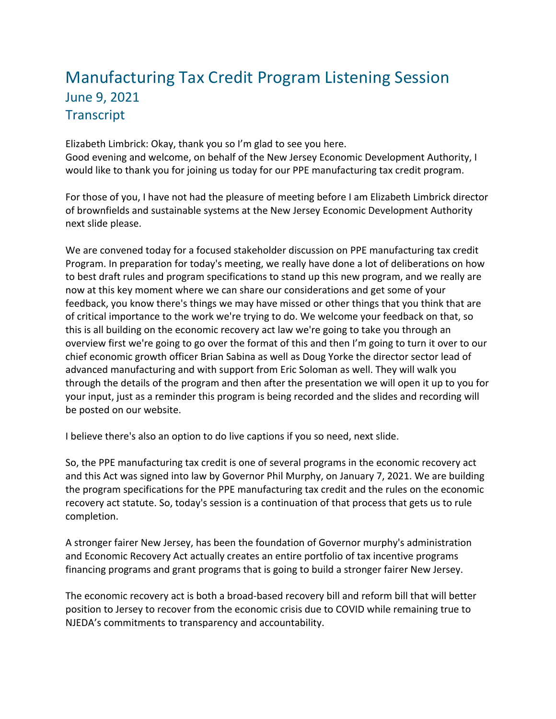## Manufacturing Tax Credit Program Listening Session June 9, 2021 **Transcript**

Elizabeth Limbrick: Okay, thank you so I'm glad to see you here. Good evening and welcome, on behalf of the New Jersey Economic Development Authority, I would like to thank you for joining us today for our PPE manufacturing tax credit program.

For those of you, I have not had the pleasure of meeting before I am Elizabeth Limbrick director of brownfields and sustainable systems at the New Jersey Economic Development Authority next slide please.

We are convened today for a focused stakeholder discussion on PPE manufacturing tax credit Program. In preparation for today's meeting, we really have done a lot of deliberations on how to best draft rules and program specifications to stand up this new program, and we really are now at this key moment where we can share our considerations and get some of your feedback, you know there's things we may have missed or other things that you think that are of critical importance to the work we're trying to do. We welcome your feedback on that, so this is all building on the economic recovery act law we're going to take you through an overview first we're going to go over the format of this and then I'm going to turn it over to our chief economic growth officer Brian Sabina as well as Doug Yorke the director sector lead of advanced manufacturing and with support from Eric Soloman as well. They will walk you through the details of the program and then after the presentation we will open it up to you for your input, just as a reminder this program is being recorded and the slides and recording will be posted on our website.

I believe there's also an option to do live captions if you so need, next slide.

So, the PPE manufacturing tax credit is one of several programs in the economic recovery act and this Act was signed into law by Governor Phil Murphy, on January 7, 2021. We are building the program specifications for the PPE manufacturing tax credit and the rules on the economic recovery act statute. So, today's session is a continuation of that process that gets us to rule completion.

A stronger fairer New Jersey, has been the foundation of Governor murphy's administration and Economic Recovery Act actually creates an entire portfolio of tax incentive programs financing programs and grant programs that is going to build a stronger fairer New Jersey.

The economic recovery act is both a broad-based recovery bill and reform bill that will better position to Jersey to recover from the economic crisis due to COVID while remaining true to NJEDA's commitments to transparency and accountability.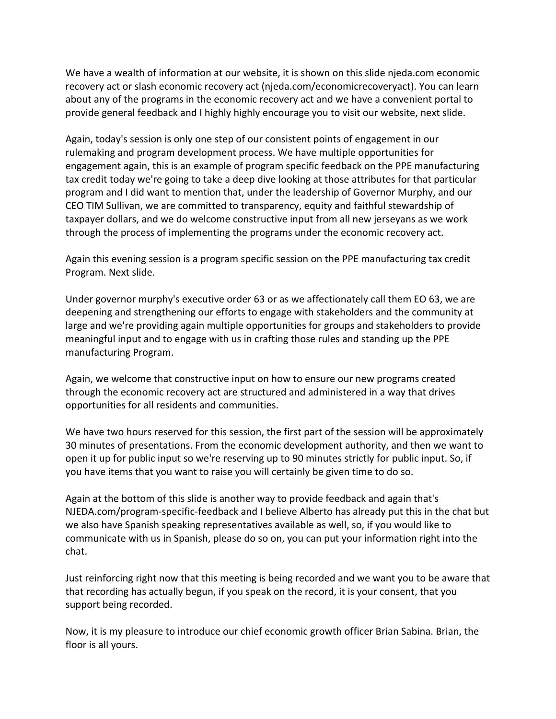We have a wealth of information at our website, it is shown on this slide njeda.com economic recovery act or slash economic recovery act (njeda.com/economicrecoveryact). You can learn about any of the programs in the economic recovery act and we have a convenient portal to provide general feedback and I highly highly encourage you to visit our website, next slide.

Again, today's session is only one step of our consistent points of engagement in our rulemaking and program development process. We have multiple opportunities for engagement again, this is an example of program specific feedback on the PPE manufacturing tax credit today we're going to take a deep dive looking at those attributes for that particular program and I did want to mention that, under the leadership of Governor Murphy, and our CEO TIM Sullivan, we are committed to transparency, equity and faithful stewardship of taxpayer dollars, and we do welcome constructive input from all new jerseyans as we work through the process of implementing the programs under the economic recovery act.

Again this evening session is a program specific session on the PPE manufacturing tax credit Program. Next slide.

Under governor murphy's executive order 63 or as we affectionately call them EO 63, we are deepening and strengthening our efforts to engage with stakeholders and the community at large and we're providing again multiple opportunities for groups and stakeholders to provide meaningful input and to engage with us in crafting those rules and standing up the PPE manufacturing Program.

Again, we welcome that constructive input on how to ensure our new programs created through the economic recovery act are structured and administered in a way that drives opportunities for all residents and communities.

We have two hours reserved for this session, the first part of the session will be approximately 30 minutes of presentations. From the economic development authority, and then we want to open it up for public input so we're reserving up to 90 minutes strictly for public input. So, if you have items that you want to raise you will certainly be given time to do so.

Again at the bottom of this slide is another way to provide feedback and again that's NJEDA.com/program-specific-feedback and I believe Alberto has already put this in the chat but we also have Spanish speaking representatives available as well, so, if you would like to communicate with us in Spanish, please do so on, you can put your information right into the chat.

Just reinforcing right now that this meeting is being recorded and we want you to be aware that that recording has actually begun, if you speak on the record, it is your consent, that you support being recorded.

Now, it is my pleasure to introduce our chief economic growth officer Brian Sabina. Brian, the floor is all yours.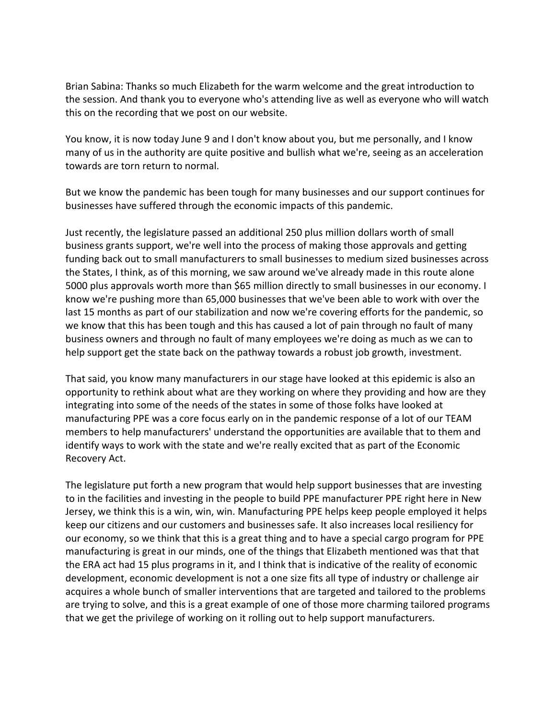Brian Sabina: Thanks so much Elizabeth for the warm welcome and the great introduction to the session. And thank you to everyone who's attending live as well as everyone who will watch this on the recording that we post on our website.

You know, it is now today June 9 and I don't know about you, but me personally, and I know many of us in the authority are quite positive and bullish what we're, seeing as an acceleration towards are torn return to normal.

But we know the pandemic has been tough for many businesses and our support continues for businesses have suffered through the economic impacts of this pandemic.

Just recently, the legislature passed an additional 250 plus million dollars worth of small business grants support, we're well into the process of making those approvals and getting funding back out to small manufacturers to small businesses to medium sized businesses across the States, I think, as of this morning, we saw around we've already made in this route alone 5000 plus approvals worth more than \$65 million directly to small businesses in our economy. I know we're pushing more than 65,000 businesses that we've been able to work with over the last 15 months as part of our stabilization and now we're covering efforts for the pandemic, so we know that this has been tough and this has caused a lot of pain through no fault of many business owners and through no fault of many employees we're doing as much as we can to help support get the state back on the pathway towards a robust job growth, investment.

That said, you know many manufacturers in our stage have looked at this epidemic is also an opportunity to rethink about what are they working on where they providing and how are they integrating into some of the needs of the states in some of those folks have looked at manufacturing PPE was a core focus early on in the pandemic response of a lot of our TEAM members to help manufacturers' understand the opportunities are available that to them and identify ways to work with the state and we're really excited that as part of the Economic Recovery Act.

The legislature put forth a new program that would help support businesses that are investing to in the facilities and investing in the people to build PPE manufacturer PPE right here in New Jersey, we think this is a win, win, win. Manufacturing PPE helps keep people employed it helps keep our citizens and our customers and businesses safe. It also increases local resiliency for our economy, so we think that this is a great thing and to have a special cargo program for PPE manufacturing is great in our minds, one of the things that Elizabeth mentioned was that that the ERA act had 15 plus programs in it, and I think that is indicative of the reality of economic development, economic development is not a one size fits all type of industry or challenge air acquires a whole bunch of smaller interventions that are targeted and tailored to the problems are trying to solve, and this is a great example of one of those more charming tailored programs that we get the privilege of working on it rolling out to help support manufacturers.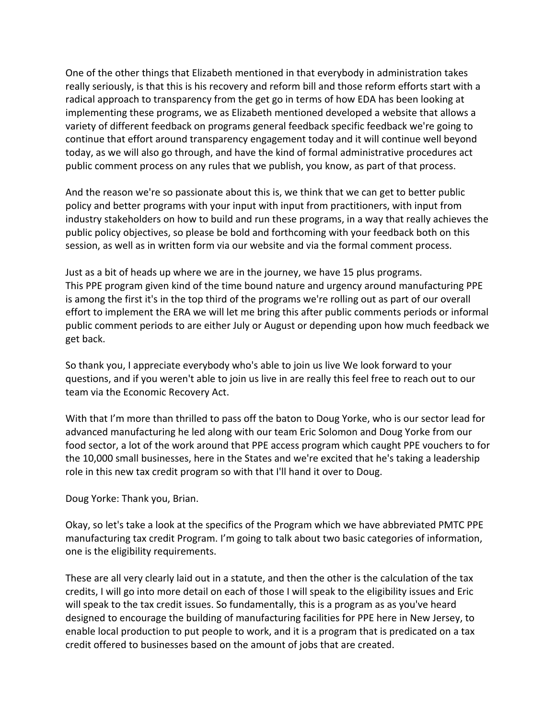One of the other things that Elizabeth mentioned in that everybody in administration takes really seriously, is that this is his recovery and reform bill and those reform efforts start with a radical approach to transparency from the get go in terms of how EDA has been looking at implementing these programs, we as Elizabeth mentioned developed a website that allows a variety of different feedback on programs general feedback specific feedback we're going to continue that effort around transparency engagement today and it will continue well beyond today, as we will also go through, and have the kind of formal administrative procedures act public comment process on any rules that we publish, you know, as part of that process.

And the reason we're so passionate about this is, we think that we can get to better public policy and better programs with your input with input from practitioners, with input from industry stakeholders on how to build and run these programs, in a way that really achieves the public policy objectives, so please be bold and forthcoming with your feedback both on this session, as well as in written form via our website and via the formal comment process.

Just as a bit of heads up where we are in the journey, we have 15 plus programs. This PPE program given kind of the time bound nature and urgency around manufacturing PPE is among the first it's in the top third of the programs we're rolling out as part of our overall effort to implement the ERA we will let me bring this after public comments periods or informal public comment periods to are either July or August or depending upon how much feedback we get back.

So thank you, I appreciate everybody who's able to join us live We look forward to your questions, and if you weren't able to join us live in are really this feel free to reach out to our team via the Economic Recovery Act.

With that I'm more than thrilled to pass off the baton to Doug Yorke, who is our sector lead for advanced manufacturing he led along with our team Eric Solomon and Doug Yorke from our food sector, a lot of the work around that PPE access program which caught PPE vouchers to for the 10,000 small businesses, here in the States and we're excited that he's taking a leadership role in this new tax credit program so with that I'll hand it over to Doug.

Doug Yorke: Thank you, Brian.

Okay, so let's take a look at the specifics of the Program which we have abbreviated PMTC PPE manufacturing tax credit Program. I'm going to talk about two basic categories of information, one is the eligibility requirements.

These are all very clearly laid out in a statute, and then the other is the calculation of the tax credits, I will go into more detail on each of those I will speak to the eligibility issues and Eric will speak to the tax credit issues. So fundamentally, this is a program as as you've heard designed to encourage the building of manufacturing facilities for PPE here in New Jersey, to enable local production to put people to work, and it is a program that is predicated on a tax credit offered to businesses based on the amount of jobs that are created.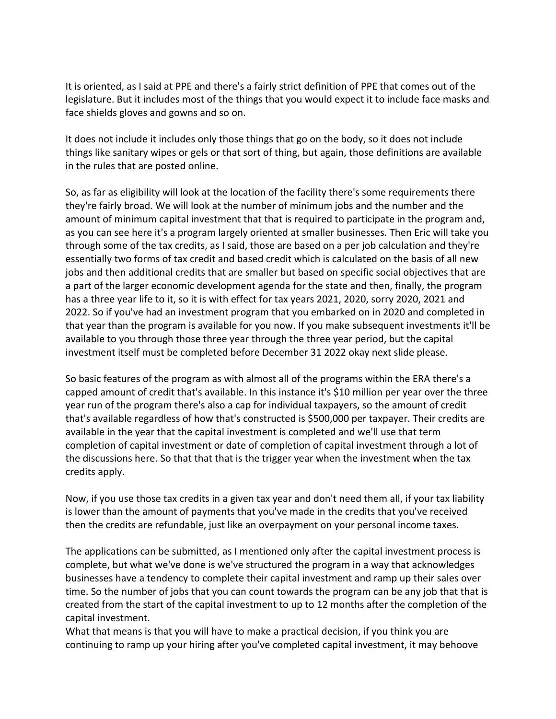It is oriented, as I said at PPE and there's a fairly strict definition of PPE that comes out of the legislature. But it includes most of the things that you would expect it to include face masks and face shields gloves and gowns and so on.

It does not include it includes only those things that go on the body, so it does not include things like sanitary wipes or gels or that sort of thing, but again, those definitions are available in the rules that are posted online.

So, as far as eligibility will look at the location of the facility there's some requirements there they're fairly broad. We will look at the number of minimum jobs and the number and the amount of minimum capital investment that that is required to participate in the program and, as you can see here it's a program largely oriented at smaller businesses. Then Eric will take you through some of the tax credits, as I said, those are based on a per job calculation and they're essentially two forms of tax credit and based credit which is calculated on the basis of all new jobs and then additional credits that are smaller but based on specific social objectives that are a part of the larger economic development agenda for the state and then, finally, the program has a three year life to it, so it is with effect for tax years 2021, 2020, sorry 2020, 2021 and 2022. So if you've had an investment program that you embarked on in 2020 and completed in that year than the program is available for you now. If you make subsequent investments it'll be available to you through those three year through the three year period, but the capital investment itself must be completed before December 31 2022 okay next slide please.

So basic features of the program as with almost all of the programs within the ERA there's a capped amount of credit that's available. In this instance it's \$10 million per year over the three year run of the program there's also a cap for individual taxpayers, so the amount of credit that's available regardless of how that's constructed is \$500,000 per taxpayer. Their credits are available in the year that the capital investment is completed and we'll use that term completion of capital investment or date of completion of capital investment through a lot of the discussions here. So that that that is the trigger year when the investment when the tax credits apply.

Now, if you use those tax credits in a given tax year and don't need them all, if your tax liability is lower than the amount of payments that you've made in the credits that you've received then the credits are refundable, just like an overpayment on your personal income taxes.

The applications can be submitted, as I mentioned only after the capital investment process is complete, but what we've done is we've structured the program in a way that acknowledges businesses have a tendency to complete their capital investment and ramp up their sales over time. So the number of jobs that you can count towards the program can be any job that that is created from the start of the capital investment to up to 12 months after the completion of the capital investment.

What that means is that you will have to make a practical decision, if you think you are continuing to ramp up your hiring after you've completed capital investment, it may behoove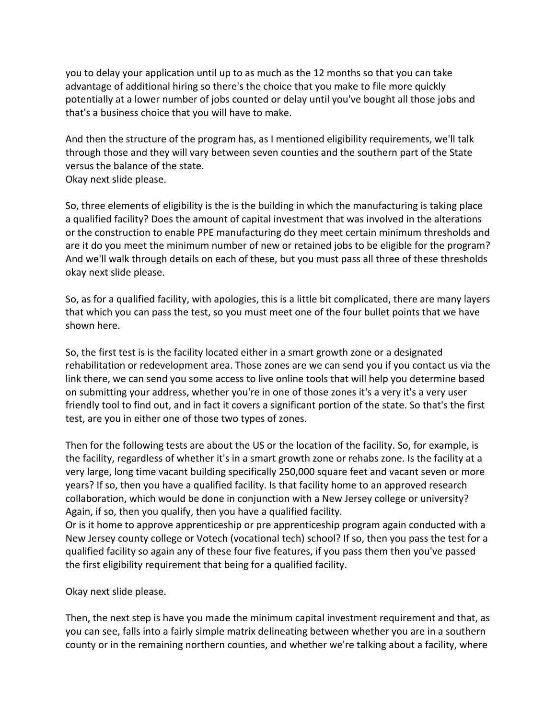you to delay your application until up to as much as the 12 months so that you can take advantage of additional hiring so there's the choice that you make to file more quickly potentially at a lower number of jobs counted or delay until you've bought all those jobs and that's a business choice that you will have to make.

And then the structure of the program has, as I mentioned eligibility requirements, we'll talk through those and they will vary between seven counties and the southern part of the State versus the balance of the state.

Okay next slide please.

So, three elements of eligibility is the is the building in which the manufacturing is taking place a qualified facility? Does the amount of capital investment that was involved in the alterations or the construction to enable PPE manufacturing do they meet certain minimum thresholds and are it do you meet the minimum number of new or retained jobs to be eligible for the program? And we'll walk through details on each of these, but you must pass all three of these thresholds okay next slide please.

So, as for a qualified facility, with apologies, this is a little bit complicated, there are many layers that which you can pass the test, so you must meet one of the four bullet points that we have shown here.

So, the first test is is the facility located either in a smart growth zone or a designated rehabilitation or redevelopment area. Those zones are we can send you if you contact us via the link there, we can send you some access to live online tools that will help you determine based on submitting your address, whether you're in one of those zones it's a very it's a very user friendly tool to find out, and in fact it covers a significant portion of the state. So that's the first test, are you in either one of those two types of zones.

Then for the following tests are about the US or the location of the facility. So, for example, is the facility, regardless of whether it's in a smart growth zone or rehabs zone. Is the facility at a very large, long time vacant building specifically 250,000 square feet and vacant seven or more years? If so, then you have a qualified facility. Is that facility home to an approved research collaboration, which would be done in conjunction with a New Jersey college or university? Again, if so, then you qualify, then you have a qualified facility.

Or is it home to approve apprenticeship or pre apprenticeship program again conducted with a New Jersey county college or Votech (vocational tech) school? If so, then you pass the test for a qualified facility so again any of these four five features, if you pass them then you've passed the first eligibility requirement that being for a qualified facility.

Okay next slide please.

Then, the next step is have you made the minimum capital investment requirement and that, as you can see, falls into a fairly simple matrix delineating between whether you are in a southern county or in the remaining northern counties, and whether we're talking about a facility, where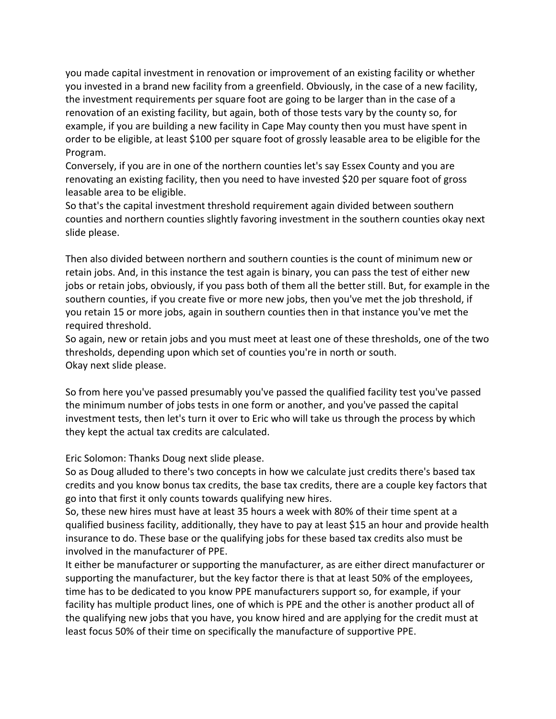you made capital investment in renovation or improvement of an existing facility or whether you invested in a brand new facility from a greenfield. Obviously, in the case of a new facility, the investment requirements per square foot are going to be larger than in the case of a renovation of an existing facility, but again, both of those tests vary by the county so, for example, if you are building a new facility in Cape May county then you must have spent in order to be eligible, at least \$100 per square foot of grossly leasable area to be eligible for the Program.

Conversely, if you are in one of the northern counties let's say Essex County and you are renovating an existing facility, then you need to have invested \$20 per square foot of gross leasable area to be eligible.

So that's the capital investment threshold requirement again divided between southern counties and northern counties slightly favoring investment in the southern counties okay next slide please.

Then also divided between northern and southern counties is the count of minimum new or retain jobs. And, in this instance the test again is binary, you can pass the test of either new jobs or retain jobs, obviously, if you pass both of them all the better still. But, for example in the southern counties, if you create five or more new jobs, then you've met the job threshold, if you retain 15 or more jobs, again in southern counties then in that instance you've met the required threshold.

So again, new or retain jobs and you must meet at least one of these thresholds, one of the two thresholds, depending upon which set of counties you're in north or south. Okay next slide please.

So from here you've passed presumably you've passed the qualified facility test you've passed the minimum number of jobs tests in one form or another, and you've passed the capital investment tests, then let's turn it over to Eric who will take us through the process by which they kept the actual tax credits are calculated.

Eric Solomon: Thanks Doug next slide please.

So as Doug alluded to there's two concepts in how we calculate just credits there's based tax credits and you know bonus tax credits, the base tax credits, there are a couple key factors that go into that first it only counts towards qualifying new hires.

So, these new hires must have at least 35 hours a week with 80% of their time spent at a qualified business facility, additionally, they have to pay at least \$15 an hour and provide health insurance to do. These base or the qualifying jobs for these based tax credits also must be involved in the manufacturer of PPE.

It either be manufacturer or supporting the manufacturer, as are either direct manufacturer or supporting the manufacturer, but the key factor there is that at least 50% of the employees, time has to be dedicated to you know PPE manufacturers support so, for example, if your facility has multiple product lines, one of which is PPE and the other is another product all of the qualifying new jobs that you have, you know hired and are applying for the credit must at least focus 50% of their time on specifically the manufacture of supportive PPE.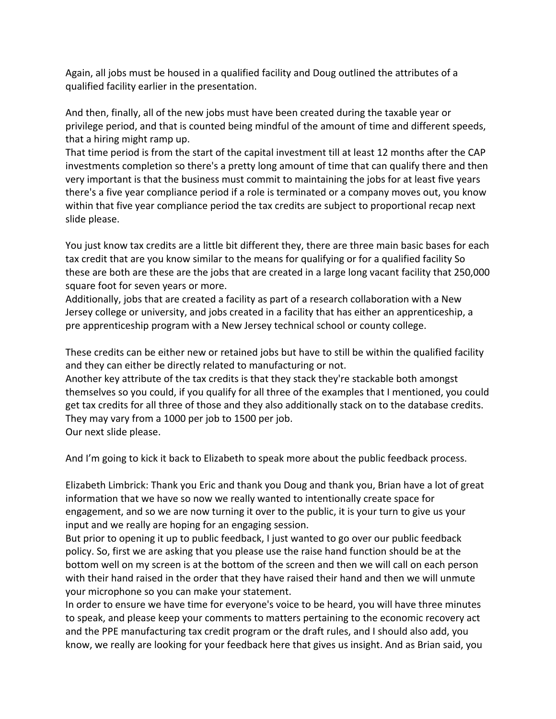Again, all jobs must be housed in a qualified facility and Doug outlined the attributes of a qualified facility earlier in the presentation.

And then, finally, all of the new jobs must have been created during the taxable year or privilege period, and that is counted being mindful of the amount of time and different speeds, that a hiring might ramp up.

That time period is from the start of the capital investment till at least 12 months after the CAP investments completion so there's a pretty long amount of time that can qualify there and then very important is that the business must commit to maintaining the jobs for at least five years there's a five year compliance period if a role is terminated or a company moves out, you know within that five year compliance period the tax credits are subject to proportional recap next slide please.

You just know tax credits are a little bit different they, there are three main basic bases for each tax credit that are you know similar to the means for qualifying or for a qualified facility So these are both are these are the jobs that are created in a large long vacant facility that 250,000 square foot for seven years or more.

Additionally, jobs that are created a facility as part of a research collaboration with a New Jersey college or university, and jobs created in a facility that has either an apprenticeship, a pre apprenticeship program with a New Jersey technical school or county college.

These credits can be either new or retained jobs but have to still be within the qualified facility and they can either be directly related to manufacturing or not.

Another key attribute of the tax credits is that they stack they're stackable both amongst themselves so you could, if you qualify for all three of the examples that I mentioned, you could get tax credits for all three of those and they also additionally stack on to the database credits. They may vary from a 1000 per job to 1500 per job.

Our next slide please.

And I'm going to kick it back to Elizabeth to speak more about the public feedback process.

Elizabeth Limbrick: Thank you Eric and thank you Doug and thank you, Brian have a lot of great information that we have so now we really wanted to intentionally create space for engagement, and so we are now turning it over to the public, it is your turn to give us your input and we really are hoping for an engaging session.

But prior to opening it up to public feedback, I just wanted to go over our public feedback policy. So, first we are asking that you please use the raise hand function should be at the bottom well on my screen is at the bottom of the screen and then we will call on each person with their hand raised in the order that they have raised their hand and then we will unmute your microphone so you can make your statement.

In order to ensure we have time for everyone's voice to be heard, you will have three minutes to speak, and please keep your comments to matters pertaining to the economic recovery act and the PPE manufacturing tax credit program or the draft rules, and I should also add, you know, we really are looking for your feedback here that gives us insight. And as Brian said, you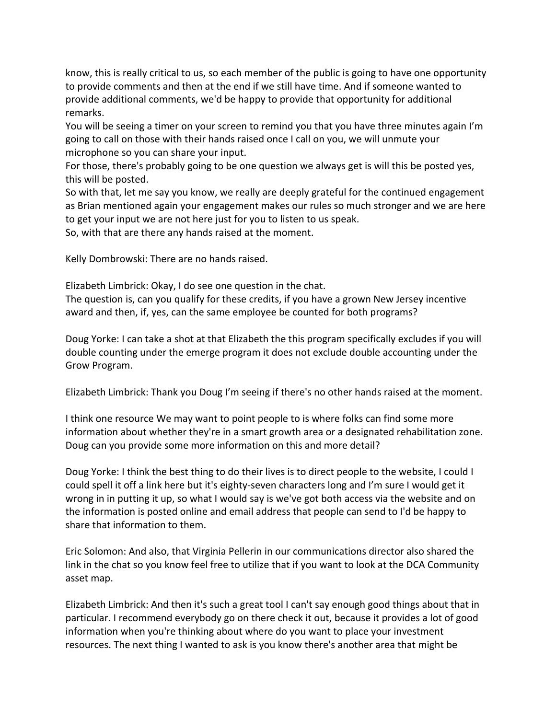know, this is really critical to us, so each member of the public is going to have one opportunity to provide comments and then at the end if we still have time. And if someone wanted to provide additional comments, we'd be happy to provide that opportunity for additional remarks.

You will be seeing a timer on your screen to remind you that you have three minutes again I'm going to call on those with their hands raised once I call on you, we will unmute your microphone so you can share your input.

For those, there's probably going to be one question we always get is will this be posted yes, this will be posted.

So with that, let me say you know, we really are deeply grateful for the continued engagement as Brian mentioned again your engagement makes our rules so much stronger and we are here to get your input we are not here just for you to listen to us speak.

So, with that are there any hands raised at the moment.

Kelly Dombrowski: There are no hands raised.

Elizabeth Limbrick: Okay, I do see one question in the chat.

The question is, can you qualify for these credits, if you have a grown New Jersey incentive award and then, if, yes, can the same employee be counted for both programs?

Doug Yorke: I can take a shot at that Elizabeth the this program specifically excludes if you will double counting under the emerge program it does not exclude double accounting under the Grow Program.

Elizabeth Limbrick: Thank you Doug I'm seeing if there's no other hands raised at the moment.

I think one resource We may want to point people to is where folks can find some more information about whether they're in a smart growth area or a designated rehabilitation zone. Doug can you provide some more information on this and more detail?

Doug Yorke: I think the best thing to do their lives is to direct people to the website, I could I could spell it off a link here but it's eighty-seven characters long and I'm sure I would get it wrong in in putting it up, so what I would say is we've got both access via the website and on the information is posted online and email address that people can send to I'd be happy to share that information to them.

Eric Solomon: And also, that Virginia Pellerin in our communications director also shared the link in the chat so you know feel free to utilize that if you want to look at the DCA Community asset map.

Elizabeth Limbrick: And then it's such a great tool I can't say enough good things about that in particular. I recommend everybody go on there check it out, because it provides a lot of good information when you're thinking about where do you want to place your investment resources. The next thing I wanted to ask is you know there's another area that might be